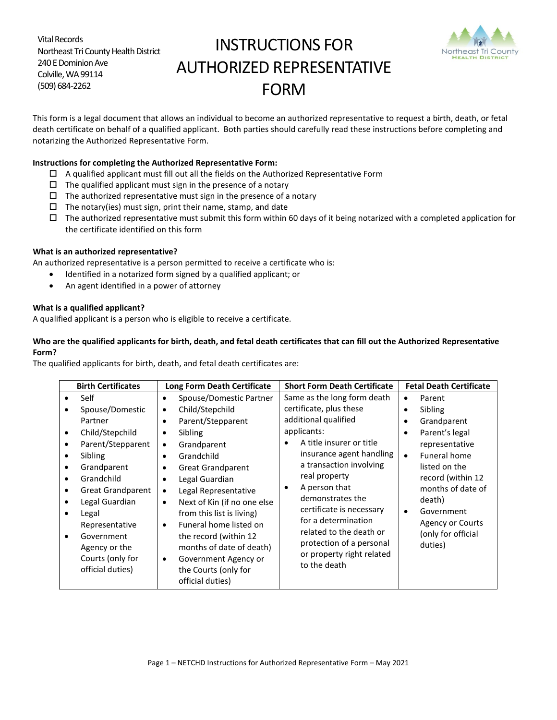Vital Records Northeast Tri County Health District 240 E Dominion Ave Colville, WA 99114 (509) 684-2262

# INSTRUCTIONS FOR AUTHORIZED REPRESENTATIVE FORM



This form is a legal document that allows an individual to become an authorized representative to request a birth, death, or fetal death certificate on behalf of a qualified applicant. Both parties should carefully read these instructions before completing and notarizing the Authorized Representative Form.

### **Instructions for completing the Authorized Representative Form:**

- $\Box$  A qualified applicant must fill out all the fields on the Authorized Representative Form
- $\square$  The qualified applicant must sign in the presence of a notary
- $\Box$  The authorized representative must sign in the presence of a notary
- $\Box$  The notary(ies) must sign, print their name, stamp, and date
- $\Box$  The authorized representative must submit this form within 60 days of it being notarized with a completed application for the certificate identified on this form

## **What is an authorized representative?**

An authorized representative is a person permitted to receive a certificate who is:

- Identified in a notarized form signed by a qualified applicant; or
- An agent identified in a power of attorney

## **What is a qualified applicant?**

A qualified applicant is a person who is eligible to receive a certificate.

## **Who are the qualified applicants for birth, death, and fetal death certificates that can fill out the Authorized Representative Form?**

The qualified applicants for birth, death, and fetal death certificates are:

| <b>Birth Certificates</b>                                                                                                                                                                                                                                          | <b>Long Form Death Certificate</b>                                                                                                                                                                                                                                                                                                                                                                                                                                                                                       | <b>Short Form Death Certificate</b>                                                                                                                                                                                                                                                                                                                                                                | <b>Fetal Death Certificate</b>                                                                                                                                                                                                                                                                            |
|--------------------------------------------------------------------------------------------------------------------------------------------------------------------------------------------------------------------------------------------------------------------|--------------------------------------------------------------------------------------------------------------------------------------------------------------------------------------------------------------------------------------------------------------------------------------------------------------------------------------------------------------------------------------------------------------------------------------------------------------------------------------------------------------------------|----------------------------------------------------------------------------------------------------------------------------------------------------------------------------------------------------------------------------------------------------------------------------------------------------------------------------------------------------------------------------------------------------|-----------------------------------------------------------------------------------------------------------------------------------------------------------------------------------------------------------------------------------------------------------------------------------------------------------|
| Self<br>Spouse/Domestic<br>Partner<br>Child/Stepchild<br>Parent/Stepparent<br>Sibling<br>Grandparent<br>Grandchild<br><b>Great Grandparent</b><br>Legal Guardian<br>Legal<br>Representative<br>Government<br>Agency or the<br>Courts (only for<br>official duties) | Spouse/Domestic Partner<br>$\bullet$<br>Child/Stepchild<br>$\bullet$<br>Parent/Stepparent<br>٠<br>Sibling<br>٠<br>Grandparent<br>$\bullet$<br>Grandchild<br>$\bullet$<br><b>Great Grandparent</b><br>٠<br>Legal Guardian<br>٠<br>Legal Representative<br>$\bullet$<br>Next of Kin (if no one else<br>$\bullet$<br>from this list is living)<br>Funeral home listed on<br>$\bullet$<br>the record (within 12<br>months of date of death)<br>Government Agency or<br>$\bullet$<br>the Courts (only for<br>official duties) | Same as the long form death<br>certificate, plus these<br>additional qualified<br>applicants:<br>A title insurer or title<br>insurance agent handling<br>a transaction involving<br>real property<br>A person that<br>٠<br>demonstrates the<br>certificate is necessary<br>for a determination<br>related to the death or<br>protection of a personal<br>or property right related<br>to the death | Parent<br>$\bullet$<br>Sibling<br>$\bullet$<br>Grandparent<br>٠<br>Parent's legal<br>$\bullet$<br>representative<br>Funeral home<br>$\bullet$<br>listed on the<br>record (within 12<br>months of date of<br>death)<br>Government<br>$\bullet$<br><b>Agency or Courts</b><br>(only for official<br>duties) |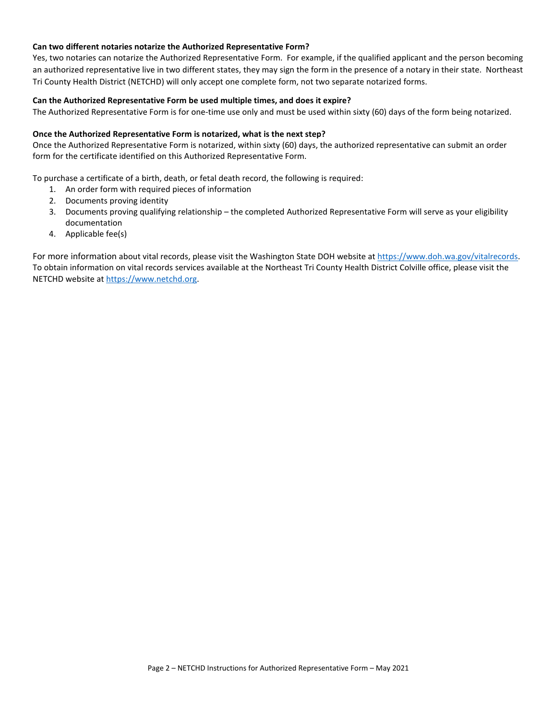#### **Can two different notaries notarize the Authorized Representative Form?**

Yes, two notaries can notarize the Authorized Representative Form. For example, if the qualified applicant and the person becoming an authorized representative live in two different states, they may sign the form in the presence of a notary in their state. Northeast Tri County Health District (NETCHD) will only accept one complete form, not two separate notarized forms.

#### **Can the Authorized Representative Form be used multiple times, and does it expire?**

The Authorized Representative Form is for one-time use only and must be used within sixty (60) days of the form being notarized.

#### **Once the Authorized Representative Form is notarized, what is the next step?**

Once the Authorized Representative Form is notarized, within sixty (60) days, the authorized representative can submit an order form for the certificate identified on this Authorized Representative Form.

To purchase a certificate of a birth, death, or fetal death record, the following is required:

- 1. An order form with required pieces of information
- 2. Documents proving identity
- 3. Documents proving qualifying relationship the completed Authorized Representative Form will serve as your eligibility documentation
- 4. Applicable fee(s)

For more information about vital records, please visit the Washington State DOH website at [https://www.doh.wa.gov/vitalrecords.](https://www.doh.wa.gov/vitalrecords) To obtain information on vital records services available at the Northeast Tri County Health District Colville office, please visit the NETCHD website at [https://www.netchd.org.](https://www.netchd.org/)